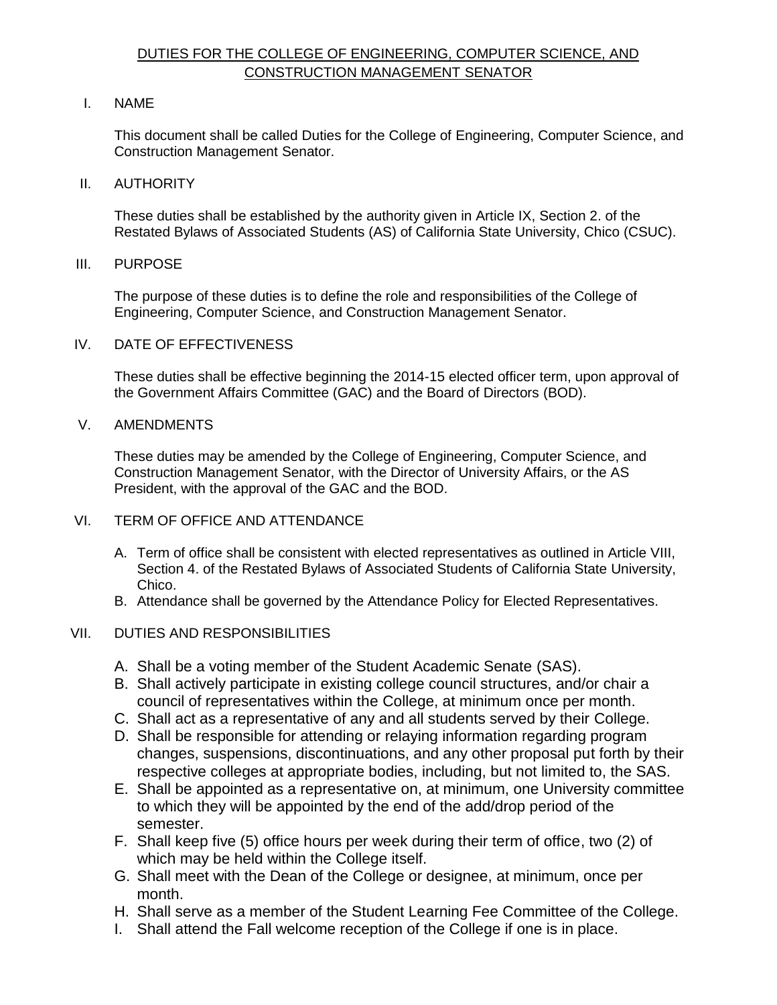# DUTIES FOR THE COLLEGE OF ENGINEERING, COMPUTER SCIENCE, AND CONSTRUCTION MANAGEMENT SENATOR

### I. NAME

 This document shall be called Duties for the College of Engineering, Computer Science, and Construction Management Senator.

II. AUTHORITY

 These duties shall be established by the authority given in Article IX, Section 2. of the Restated Bylaws of Associated Students (AS) of California State University, Chico (CSUC).

### III. PURPOSE

 The purpose of these duties is to define the role and responsibilities of the College of Engineering, Computer Science, and Construction Management Senator.

### IV. DATE OF EFFECTIVENESS

 These duties shall be effective beginning the 2014-15 elected officer term, upon approval of the Government Affairs Committee (GAC) and the Board of Directors (BOD).

# V. AMENDMENTS

 These duties may be amended by the College of Engineering, Computer Science, and Construction Management Senator, with the Director of University Affairs, or the AS President, with the approval of the GAC and the BOD.

- VI. TERM OF OFFICE AND ATTENDANCE
	- A. Term of office shall be consistent with elected representatives as outlined in Article VIII, Section 4. of the Restated Bylaws of Associated Students of California State University, Chico.
	- B. Attendance shall be governed by the Attendance Policy for Elected Representatives.

## VII. DUTIES AND RESPONSIBILITIES

- A. Shall be a voting member of the Student Academic Senate (SAS).
- B. Shall actively participate in existing college council structures, and/or chair a council of representatives within the College, at minimum once per month.
- C. Shall act as a representative of any and all students served by their College.
- D. Shall be responsible for attending or relaying information regarding program changes, suspensions, discontinuations, and any other proposal put forth by their respective colleges at appropriate bodies, including, but not limited to, the SAS.
- to which they will be appointed by the end of the add/drop period of the E. Shall be appointed as a representative on, at minimum, one University committee semester.
- F. Shall keep five (5) office hours per week during their term of office, two (2) of which may be held within the College itself.
- G. Shall meet with the Dean of the College or designee, at minimum, once per month.
- H. Shall serve as a member of the Student Learning Fee Committee of the College.
- I. Shall attend the Fall welcome reception of the College if one is in place.